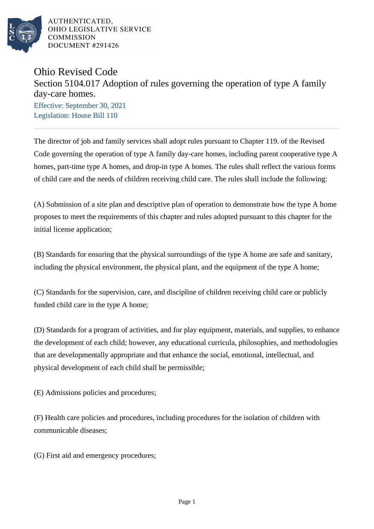

AUTHENTICATED. OHIO LEGISLATIVE SERVICE **COMMISSION** DOCUMENT #291426

## Ohio Revised Code

## Section 5104.017 Adoption of rules governing the operation of type A family day-care homes.

Effective: September 30, 2021 Legislation: House Bill 110

The director of job and family services shall adopt rules pursuant to Chapter 119. of the Revised Code governing the operation of type A family day-care homes, including parent cooperative type A homes, part-time type A homes, and drop-in type A homes. The rules shall reflect the various forms of child care and the needs of children receiving child care. The rules shall include the following:

(A) Submission of a site plan and descriptive plan of operation to demonstrate how the type A home proposes to meet the requirements of this chapter and rules adopted pursuant to this chapter for the initial license application;

(B) Standards for ensuring that the physical surroundings of the type A home are safe and sanitary, including the physical environment, the physical plant, and the equipment of the type A home;

(C) Standards for the supervision, care, and discipline of children receiving child care or publicly funded child care in the type A home;

(D) Standards for a program of activities, and for play equipment, materials, and supplies, to enhance the development of each child; however, any educational curricula, philosophies, and methodologies that are developmentally appropriate and that enhance the social, emotional, intellectual, and physical development of each child shall be permissible;

(E) Admissions policies and procedures;

(F) Health care policies and procedures, including procedures for the isolation of children with communicable diseases;

(G) First aid and emergency procedures;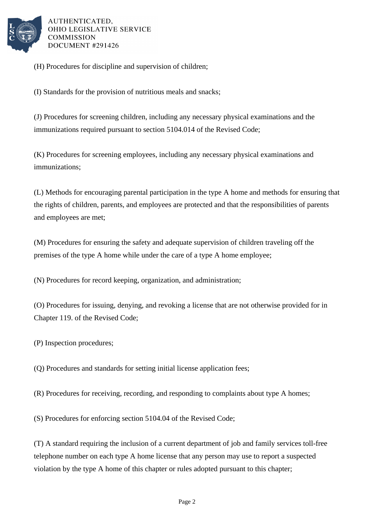

AUTHENTICATED. OHIO LEGISLATIVE SERVICE **COMMISSION** DOCUMENT #291426

(H) Procedures for discipline and supervision of children;

(I) Standards for the provision of nutritious meals and snacks;

(J) Procedures for screening children, including any necessary physical examinations and the immunizations required pursuant to section 5104.014 of the Revised Code;

(K) Procedures for screening employees, including any necessary physical examinations and immunizations;

(L) Methods for encouraging parental participation in the type A home and methods for ensuring that the rights of children, parents, and employees are protected and that the responsibilities of parents and employees are met;

(M) Procedures for ensuring the safety and adequate supervision of children traveling off the premises of the type A home while under the care of a type A home employee;

(N) Procedures for record keeping, organization, and administration;

(O) Procedures for issuing, denying, and revoking a license that are not otherwise provided for in Chapter 119. of the Revised Code;

(P) Inspection procedures;

(Q) Procedures and standards for setting initial license application fees;

(R) Procedures for receiving, recording, and responding to complaints about type A homes;

(S) Procedures for enforcing section 5104.04 of the Revised Code;

(T) A standard requiring the inclusion of a current department of job and family services toll-free telephone number on each type A home license that any person may use to report a suspected violation by the type A home of this chapter or rules adopted pursuant to this chapter;